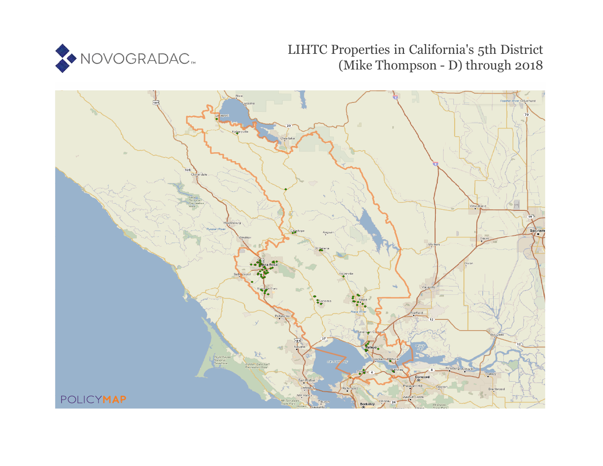

# LIHTC Properties in California's 5th District (Mike Thompson - D) through 2018

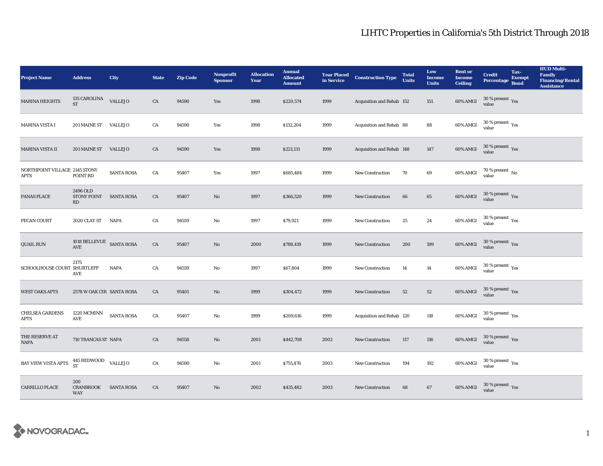| <b>Project Name</b>                          | <b>Address</b>                                                                      | City              | <b>State</b> | <b>Zip Code</b> | <b>Nonprofit</b><br><b>Sponsor</b> | <b>Allocation</b><br>Year | <b>Annual</b><br><b>Allocated</b><br><b>Amount</b> |      | <b>Year Placed Construction Type</b><br>in Service <b>Construction</b> Type | <b>Total</b><br><b>Units</b> | Low<br><b>Income</b><br><b>Units</b> | <b>Rent or</b><br><b>Income</b><br><b>Ceiling</b> | <b>Credit</b><br><b>Percentage</b>      | Tax-<br><b>Exempt</b><br><b>Bond</b> | <b>HUD Multi-</b><br><b>Family</b><br><b>Financing/Rental</b><br><b>Assistance</b> |
|----------------------------------------------|-------------------------------------------------------------------------------------|-------------------|--------------|-----------------|------------------------------------|---------------------------|----------------------------------------------------|------|-----------------------------------------------------------------------------|------------------------------|--------------------------------------|---------------------------------------------------|-----------------------------------------|--------------------------------------|------------------------------------------------------------------------------------|
| <b>MARINA HEIGHTS</b>                        | 135 CAROLINA VALLEJO<br><b>ST</b>                                                   |                   | CA           | 94590           | Yes                                | 1998                      | \$220,574                                          | 1999 | Acquisition and Rehab 152                                                   |                              | 151                                  | 60% AMGI                                          | $30\,\%$ present $\,$ Yes value         |                                      |                                                                                    |
| MARINA VISTA I                               | 201 MAINE ST VALLEJO                                                                |                   | CA           | 94590           | Yes                                | 1998                      | \$132,204                                          | 1999 | Acquisition and Rehab 88                                                    |                              | 88                                   | 60% AMGI                                          | $30\,\%$ present $\,$ Yes value         |                                      |                                                                                    |
| MARINA VISTA II                              | 201 MAINE ST                                                                        | <b>VALLEJO</b>    | ${\rm CA}$   | 94590           | Yes                                | 1998                      | \$221,131                                          | 1999 | Acquisition and Rehab 148                                                   |                              | $147\,$                              | 60% AMGI                                          | $30\,\%$ present $\,$ Yes value         |                                      |                                                                                    |
| NORTHPOINT VILLAGE 2145 STONY<br><b>APTS</b> | POINT RD                                                                            | <b>SANTA ROSA</b> | CA           | 95407           | Yes                                | 1997                      | \$685,484                                          | 1999 | New Construction                                                            | 70                           | $\bf{69}$                            | $60\%$ AMGI                                       | $70$ % present $\,$ No value            |                                      |                                                                                    |
| PANAS PLACE                                  | 2496 OLD<br>STONY POINT SANTA ROSA<br>RD                                            |                   | ${\rm CA}$   | 95407           | $\mathbf{N}\mathbf{o}$             | 1997                      | \$366,520                                          | 1999 | New Construction                                                            | $\bf{66}$                    | 65                                   | 60% AMGI                                          | $30\,\%$ present $\,$ Yes value         |                                      |                                                                                    |
| PECAN COURT                                  | 2020 CLAY ST                                                                        | <b>NAPA</b>       | ${\rm CA}$   | 94559           | No                                 | 1997                      | \$79,921                                           | 1999 | <b>New Construction</b>                                                     | 25                           | 24                                   | 60% AMGI                                          | $30\,\%$ present $\,$ Yes value         |                                      |                                                                                    |
| <b>QUAIL RUN</b>                             | 1018 BELLEVUE SANTA ROSA<br>AVE                                                     |                   | ${\rm CA}$   | 95407           | No                                 | 2000                      | \$788,419                                          | 1999 | New Construction                                                            | 200                          | 199                                  | 60% AMGI                                          | $30\,\%$ present $\,$ Yes value         |                                      |                                                                                    |
| SCHOOLHOUSE COURT SHURTLEFF                  | 2175<br>AVE                                                                         | <b>NAPA</b>       | ${\rm CA}$   | 94559           | No                                 | 1997                      | \$67,804                                           | 1999 | New Construction                                                            | 14                           | 14                                   | 60% AMGI                                          | $30\,\%$ present $\,\mathrm{Yes}$ value |                                      |                                                                                    |
| <b>WEST OAKS APTS</b>                        | 2578 W OAK CIR SANTA ROSA                                                           |                   | CA           | 95401           | $\mathbf{No}$                      | 1999                      | \$304,472                                          | 1999 | New Construction                                                            | 52                           | 52                                   | 60% AMGI                                          | $30\,\%$ present $\,$ Yes value         |                                      |                                                                                    |
| <b>CHELSEA GARDENS</b><br><b>APTS</b>        | 1220 MCMINN<br>AVE                                                                  | <b>SANTA ROSA</b> | CA           | 95407           | No                                 | 1999                      | \$209,616                                          | 1999 | Acquisition and Rehab 120                                                   |                              | 118                                  | 60% AMGI                                          | $30\,\%$ present $\,\mathrm{Yes}$ value |                                      |                                                                                    |
| THE RESERVE AT<br>NAPA                       | 710 TRANCAS ST NAPA                                                                 |                   | CA           | 94558           | No                                 | 2001                      | \$442,708                                          | 2002 | New Construction                                                            | 117                          | 116                                  | 60% AMGI                                          | $30\,\%$ present $\,$ Yes value         |                                      |                                                                                    |
| <b>BAY VIEW VISTA APTS</b>                   | $\begin{array}{cc}\n445 \text{ REDWOOD} & \text{VALLEJO} \\ \text{ST}\n\end{array}$ |                   | CA           | 94590           | No                                 | 2001                      | \$755,476                                          | 2003 | <b>New Construction</b>                                                     | 194                          | 192                                  | 60% AMGI                                          | $30\,\%$ present $\,$ Yes value         |                                      |                                                                                    |
| <b>CARRILLO PLACE</b>                        | 200<br><b>CRANBROOK</b><br><b>WAY</b>                                               | <b>SANTA ROSA</b> | CA           | 95407           | $\mathbf{No}$                      | 2002                      | \$435,482                                          | 2003 | <b>New Construction</b>                                                     | 68                           | 67                                   | 60% AMGI                                          | $30\,\%$ present $\,$ Yes value         |                                      |                                                                                    |

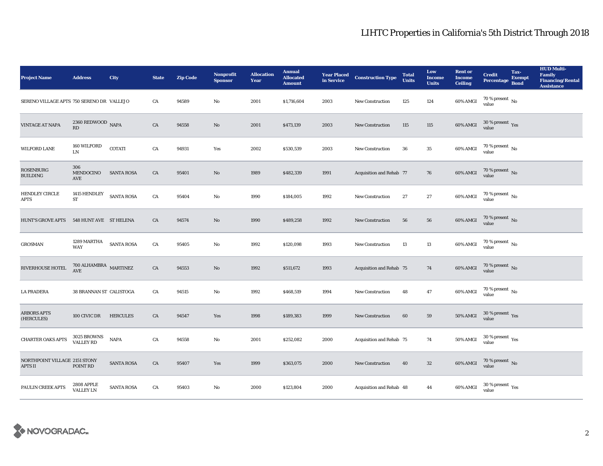| <b>Project Name</b>                             | <b>Address</b>                                                      | City              | <b>State</b> | <b>Zip Code</b> | <b>Nonprofit</b><br><b>Sponsor</b> | <b>Allocation</b><br>Year | <b>Annual</b><br><b>Allocated</b><br><b>Amount</b> | <b>Year Placed<br/>in Service</b> | <b>Construction Type</b> | <b>Total</b><br><b>Units</b> | Low<br><b>Income</b><br><b>Units</b> | <b>Rent or</b><br><b>Income</b><br><b>Ceiling</b> | <b>Credit</b><br><b>Percentage</b>      | Tax-<br><b>Exempt</b><br><b>Bond</b> | <b>HUD Multi-</b><br>Family<br><b>Financing/Rental</b><br><b>Assistance</b> |
|-------------------------------------------------|---------------------------------------------------------------------|-------------------|--------------|-----------------|------------------------------------|---------------------------|----------------------------------------------------|-----------------------------------|--------------------------|------------------------------|--------------------------------------|---------------------------------------------------|-----------------------------------------|--------------------------------------|-----------------------------------------------------------------------------|
| SERENO VILLAGE APTS 750 SERENO DR VALLEJO       |                                                                     |                   | CA           | 94589           | No                                 | 2001                      | \$1,716,604                                        | 2003                              | New Construction         | 125                          | 124                                  | $60\%$ AMGI                                       | 70 % present $\,$ No $\,$<br>value      |                                      |                                                                             |
| <b>VINTAGE AT NAPA</b>                          | $2360$ REDWOOD $\,$ NAPA RD                                         |                   | ${\rm CA}$   | 94558           | $\rm No$                           | 2001                      | \$473,139                                          | 2003                              | <b>New Construction</b>  | 115                          | 115                                  | 60% AMGI                                          | $30\,\%$ present $\,$ Yes value         |                                      |                                                                             |
| <b>WILFORD LANE</b>                             | 160 WILFORD<br><b>LN</b>                                            | <b>COTATI</b>     | ${\rm CA}$   | 94931           | Yes                                | 2002                      | \$530,539                                          | 2003                              | <b>New Construction</b>  | 36                           | 35                                   | 60% AMGI                                          | $70$ % present $\,$ No $\,$<br>value    |                                      |                                                                             |
| ROSENBURG<br><b>BUILDING</b>                    | 306<br>MENDOCINO<br>AVE                                             | <b>SANTA ROSA</b> | ${\rm CA}$   | 95401           | No                                 | 1989                      | \$482,339                                          | 1991                              | Acquisition and Rehab 77 |                              | 76                                   | 60% AMGI                                          | $70$ % present $\,$ No value            |                                      |                                                                             |
| HENDLEY CIRCLE<br>APTS                          | 1415 HENDLEY<br>ST                                                  | <b>SANTA ROSA</b> | ${\rm CA}$   | 95404           | No                                 | 1990                      | \$184,005                                          | 1992                              | New Construction         | 27                           | 27                                   | 60% AMGI                                          | $70$ % present $\,$ No $\,$<br>value    |                                      |                                                                             |
| <b>HUNT'S GROVE APTS</b>                        | 548 HUNT AVE ST HELENA                                              |                   | CA           | 94574           | No                                 | 1990                      | \$489,258                                          | 1992                              | <b>New Construction</b>  | 56                           | 56                                   | 60% AMGI                                          | $70\,\%$ present $\,$ No value          |                                      |                                                                             |
| <b>GROSMAN</b>                                  | 1289 MARTHA<br><b>WAY</b>                                           | SANTA ROSA        | ${\rm CA}$   | 95405           | No                                 | 1992                      | \$120,098                                          | 1993                              | <b>New Construction</b>  | 13                           | 13                                   | 60% AMGI                                          | $70\,\%$ present $\,$ No value          |                                      |                                                                             |
| RIVERHOUSE HOTEL                                | $700$ ALHAMBRA $_{\rm \,MARTINEZ}$<br>$\operatorname{\mathbf{AVE}}$ |                   | ${\rm CA}$   | 94553           | $\mathbf{No}$                      | 1992                      | \$511,672                                          | 1993                              | Acquisition and Rehab 75 |                              | 74                                   | 60% AMGI                                          | $70\,\%$ present $\,$ No value          |                                      |                                                                             |
| <b>LA PRADERA</b>                               | 38 BRANNAN ST CALISTOGA                                             |                   | CA           | 94515           | No                                 | 1992                      | \$468,519                                          | 1994                              | New Construction         | 48                           | $\bf 47$                             | 60% AMGI                                          | $70\,\%$ present $\,$ No value          |                                      |                                                                             |
| <b>ARBORS APTS</b><br>(HERCULES)                | 100 CIVIC DR                                                        | <b>HERCULES</b>   | CA           | 94547           | Yes                                | 1998                      | \$189,383                                          | 1999                              | <b>New Construction</b>  | 60                           | 59                                   | <b>50% AMGI</b>                                   | $30\,\%$ present $\,$ Yes value         |                                      |                                                                             |
| <b>CHARTER OAKS APTS</b>                        | 3025 BROWNS<br>VALLEY RD                                            | <b>NAPA</b>       | ${\rm CA}$   | 94558           | No                                 | 2001                      | \$252,082                                          | 2000                              | Acquisition and Rehab 75 |                              | 74                                   | 50% AMGI                                          | $30\,\%$ present $\,\mathrm{Yes}$ value |                                      |                                                                             |
| NORTHPOINT VILLAGE 2151 STONY<br><b>APTS II</b> | POINT RD                                                            | <b>SANTA ROSA</b> | CA           | 95407           | Yes                                | 1999                      | \$363,075                                          | 2000                              | New Construction         | 40                           | $32\,$                               | $60\%$ AMGI                                       | $70\,\%$ present $\,$ No value          |                                      |                                                                             |
| PAULIN CREEK APTS                               | <b>2808 APPLE</b><br><b>VALLEY LN</b>                               | <b>SANTA ROSA</b> | CA           | 95403           | $\mathbf{No}$                      | 2000                      | \$123,804                                          | 2000                              | Acquisition and Rehab 48 |                              | 44                                   | 60% AMGI                                          | $30\,\%$ present $\,$ Yes value         |                                      |                                                                             |

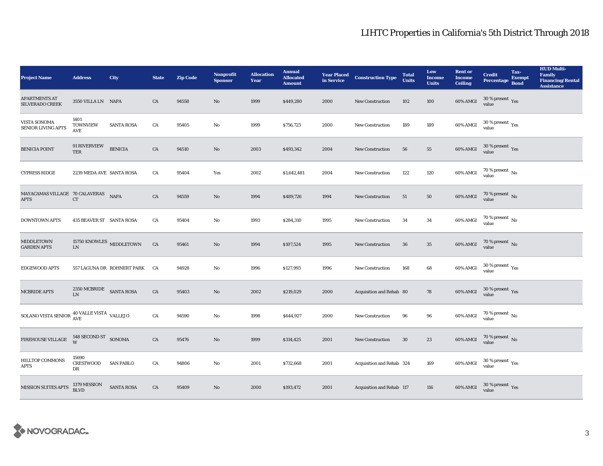| <b>Project Name</b>                                              | <b>Address</b>                        | City                          | <b>State</b> | <b>Zip Code</b> | Nonprofit<br><b>Sponsor</b> | <b>Allocation</b><br>Year | <b>Annual</b><br><b>Allocated</b><br><b>Amount</b> |      | <b>Year Placed Construction Type</b><br>in Service | <b>Total</b><br><b>Units</b> | Low<br><b>Income</b><br><b>Units</b> | <b>Rent or</b><br><b>Income</b><br><b>Ceiling</b> | <b>Credit</b><br>Percentage Bond        | Tax-<br>Exempt | <b>HUD Multi-</b><br>Family<br><b>Financing/Rental</b><br><b>Assistance</b> |
|------------------------------------------------------------------|---------------------------------------|-------------------------------|--------------|-----------------|-----------------------------|---------------------------|----------------------------------------------------|------|----------------------------------------------------|------------------------------|--------------------------------------|---------------------------------------------------|-----------------------------------------|----------------|-----------------------------------------------------------------------------|
| <b>APARTMENTS AT</b><br><b>SILVERADO CREEK</b>                   | 3550 VILLA LN NAPA                    |                               | CA           | 94558           | $\mathbf{N}\mathbf{o}$      | 1999                      | \$449,280                                          | 2000 | New Construction                                   | 102                          | 100                                  | 60% AMGI                                          | $30\,\%$ present $\,\mathrm{Yes}$ value |                |                                                                             |
| VISTA SONOMA<br><b>SENIOR LIVING APTS</b>                        | 1401<br><b>TOWNVIEW</b><br><b>AVE</b> | <b>SANTA ROSA</b>             | CA           | 95405           | $\mathbf{No}$               | 1999                      | \$756,723                                          | 2000 | <b>New Construction</b>                            | 189                          | 189                                  | 60% AMGI                                          | $30\,\%$ present $\,$ Yes value         |                |                                                                             |
| <b>BENICIA POINT</b>                                             | 91 RIVERVIEW<br><b>TER</b>            | <b>BENICIA</b>                | CA           | 94510           | $\rm No$                    | 2003                      | \$493,342                                          | 2004 | <b>New Construction</b>                            | 56                           | 55                                   | 60% AMGI                                          | $30\,\%$ present $\,$ Yes value         |                |                                                                             |
| <b>CYPRESS RIDGE</b>                                             | 2239 MEDA AVE SANTA ROSA              |                               | CA           | 95404           | Yes                         | 2002                      | \$1,642,481                                        | 2004 | <b>New Construction</b>                            | 122                          | 120                                  | 60% AMGI                                          | $70\,\%$ present $\,$ No value          |                |                                                                             |
| MAYACAMAS VILLAGE 70 CALAVERAS NAPA<br><b>APTS</b>               | ${\cal C}{\cal T}$                    |                               | ${\rm CA}$   | 94559           | $\rm No$                    | 1994                      | \$489,726                                          | 1994 | New Construction                                   | 51                           | 50                                   | $60\%$ AMGI                                       | $70$ % present $\,$ No value            |                |                                                                             |
| <b>DOWNTOWN APTS</b>                                             | 435 BEAVER ST SANTA ROSA              |                               | CA           | 95404           | No                          | 1993                      | \$284,310                                          | 1995 | <b>New Construction</b>                            | 34                           | 34                                   | 60% AMGI                                          | $70$ % present $\,$ No value            |                |                                                                             |
| <b>MIDDLETOWN</b><br><b>GARDEN APTS</b>                          | LN                                    | 15750 KNOWLES $\,$ MIDDLETOWN | CA           | 95461           | $\mathbf{N}\mathbf{o}$      | 1994                      | \$107,524                                          | 1995 | New Construction                                   | 36                           | 35                                   | 60% AMGI                                          | $70$ % present $\,$ No value            |                |                                                                             |
| EDGEWOOD APTS                                                    |                                       | 557 LAGUNA DR ROHNERT PARK CA |              | 94928           | $\mathbf{N}\mathbf{o}$      | 1996                      | \$127,993                                          | 1996 | New Construction                                   | 168                          | 68                                   | $60\%$ AMGI                                       | $30\,\%$ present $\,\mathrm{Yes}$ value |                |                                                                             |
| <b>MCBRIDE APTS</b>                                              | $2350\rm\,MCBRIDE$ $\_$ SANTA ROSA LN |                               | ${\rm CA}$   | 95403           | $\mathbf{N}\mathbf{o}$      | 2002                      | \$219,029                                          | 2000 | Acquisition and Rehab 80                           |                              | 78                                   | 60% AMGI                                          | $30\,\%$ present $\,$ Yes value         |                |                                                                             |
| SOLANO VISTA SENIOR $\frac{\rm 40~VALLE~VISTA}{\rm AVE}$ VALLEJO |                                       |                               | CA           | 94590           | No                          | 1998                      | \$644,927                                          | 2000 | <b>New Construction</b>                            | 96                           | 96                                   | 60% AMGI                                          | $70\,\%$ present $\,$ No value          |                |                                                                             |
| FIREHOUSE VILLAGE                                                | 548 SECOND ST<br>W<br>W<br>SONOMA     |                               | ${\rm CA}$   | 95476           | $\mathbf{N}\mathbf{o}$      | 1999                      | \$314,425                                          | 2001 | <b>New Construction</b>                            | $30\,$                       | 23                                   | 60% AMGI                                          | $70\,\%$ present $\,$ No value          |                |                                                                             |
| <b>HILLTOP COMMONS</b><br><b>APTS</b>                            | 15690<br><b>CRESTWOOD</b><br>DR       | <b>SAN PABLO</b>              | CA           | 94806           | No                          | 2001                      | \$732,668                                          | 2001 | Acquisition and Rehab 324                          |                              | 169                                  | 60% AMGI                                          | $30\,\%$ present $\,\mathrm{Yes}$ value |                |                                                                             |
| <b>MISSION SUITES APTS</b>                                       | 1379 MISSION<br><b>BLVD</b>           | <b>SANTA ROSA</b>             | ${\rm CA}$   | 95409           | No                          | 2000                      | \$193,472                                          | 2001 | Acquisition and Rehab 117                          |                              | 116                                  | 60% AMGI                                          | $30\,\%$ present $\,$ Yes value         |                |                                                                             |

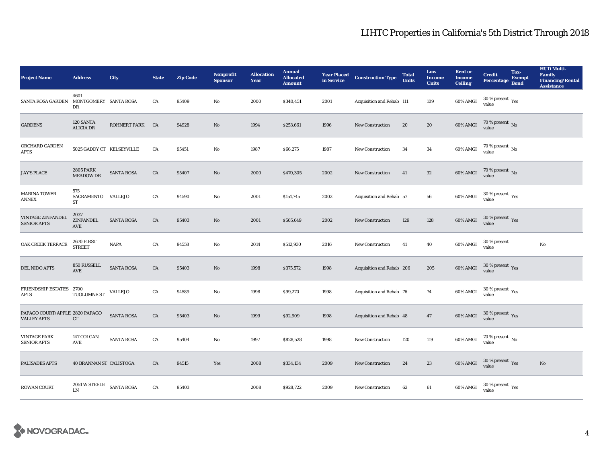| <b>Project Name</b>                                  | <b>Address</b>                                                                                                            | City              | <b>State</b> | <b>Zip Code</b> | <b>Nonprofit</b><br><b>Sponsor</b> | <b>Allocation</b><br>Year | <b>Annual</b><br><b>Allocated</b><br><b>Amount</b> |      | <b>Year Placed Construction Type</b><br>in Service | <b>Total</b><br><b>Units</b> | Low<br><b>Income</b><br><b>Units</b> | <b>Rent or</b><br><b>Income</b><br><b>Ceiling</b> | <b>Credit</b><br><b>Percentage</b>                   | Tax-<br><b>Exempt</b><br><b>Bond</b> | <b>HUD Multi-</b><br>Family<br><b>Financing/Rental</b><br><b>Assistance</b> |
|------------------------------------------------------|---------------------------------------------------------------------------------------------------------------------------|-------------------|--------------|-----------------|------------------------------------|---------------------------|----------------------------------------------------|------|----------------------------------------------------|------------------------------|--------------------------------------|---------------------------------------------------|------------------------------------------------------|--------------------------------------|-----------------------------------------------------------------------------|
| <b>SANTA ROSA GARDEN</b>                             | 4601<br>MONTGOMERY SANTA ROSA<br>DR                                                                                       |                   | CA           | 95409           | No                                 | 2000                      | \$340,451                                          | 2001 | Acquisition and Rehab 111                          |                              | 109                                  | 60% AMGI                                          | 30 % present $\rm\thinspace\gamma_{\rm es}$<br>value |                                      |                                                                             |
| <b>GARDENS</b>                                       | 120 SANTA<br><b>ALICIA DR</b>                                                                                             | ROHNERT PARK CA   |              | 94928           | $\rm No$                           | 1994                      | \$253,661                                          | 1996 | New Construction                                   | 20                           | 20                                   | 60% AMGI                                          | $70\,\%$ present $\,$ No value                       |                                      |                                                                             |
| ORCHARD GARDEN<br><b>APTS</b>                        | 5025 GADDY CT KELSEYVILLE                                                                                                 |                   | CA           | 95451           | No                                 | 1987                      | \$66,275                                           | 1987 | <b>New Construction</b>                            | 34                           | 34                                   | 60% AMGI                                          | $70$ % present $\,$ No value                         |                                      |                                                                             |
| <b>JAY'S PLACE</b>                                   | <b>2805 PARK</b><br><b>MEADOW DR</b>                                                                                      | <b>SANTA ROSA</b> | ${\rm CA}$   | 95407           | $\mathbf{No}$                      | 2000                      | \$470,305                                          | 2002 | New Construction                                   | 41                           | $32\,$                               | 60% AMGI                                          | $70$ % present $\,$ No value                         |                                      |                                                                             |
| <b>MARINA TOWER</b><br><b>ANNEX</b>                  | 575<br>SACRAMENTO VALLEJO<br>ST                                                                                           |                   | CA           | 94590           | $\mathbf{No}$                      | 2001                      | \$151,745                                          | 2002 | Acquisition and Rehab 57                           |                              | 56                                   | 60% AMGI                                          | $30\,\%$ present $\,$ Yes value                      |                                      |                                                                             |
| VINTAGE ZINFANDEL<br><b>SENIOR APTS</b>              | 2037<br><b>ZINFANDEL</b><br>AVE                                                                                           | <b>SANTA ROSA</b> | CA           | 95403           | $\mathbf{N}\mathbf{o}$             | 2001                      | \$565,649                                          | 2002 | <b>New Construction</b>                            | 129                          | 128                                  | 60% AMGI                                          | $30\,\%$ present $\,$ Yes value                      |                                      |                                                                             |
| OAK CREEK TERRACE                                    | <b>2670 FIRST</b><br><b>STREET</b>                                                                                        | <b>NAPA</b>       | CA           | 94558           | No                                 | 2014                      | \$512,930                                          | 2016 | <b>New Construction</b>                            | 41                           | 40                                   | 60% AMGI                                          | 30 % present<br>value                                |                                      | $\mathbf{N}\mathbf{o}$                                                      |
| DEL NIDO APTS                                        | 850 RUSSELL<br>$\operatorname{AVE}$                                                                                       | <b>SANTA ROSA</b> | ${\rm CA}$   | 95403           | $\mathbf{N}\mathbf{o}$             | 1998                      | \$375,572                                          | 1998 | Acquisition and Rehab 206                          |                              | 205                                  | 60% AMGI                                          | $30\,\%$ present $\,\mathrm{Yes}$ value              |                                      |                                                                             |
| FRIENDSHIP ESTATES 2700<br><b>APTS</b>               | $\mbox{\bf T} \mbox{\bf U} \mbox{\bf O} \mbox{\bf L} \mbox{\bf U} \mbox{\bf M} \mbox{\bf N} \mbox{\bf E}$ $\mbox{\bf ST}$ | <b>VALLEJO</b>    | ${\rm CA}$   | 94589           | $\mathbf{N}\mathbf{o}$             | 1998                      | \$99,270                                           | 1998 | Acquisition and Rehab 76                           |                              | 74                                   | 60% AMGI                                          | $30\,\%$ present $\,\mathrm{Yes}$ value              |                                      |                                                                             |
| PAPAGO COURT/APPLE 2820 PAPAGO<br><b>VALLEY APTS</b> | CT                                                                                                                        | <b>SANTA ROSA</b> | CA           | 95403           | $\mathbf{N}\mathbf{o}$             | 1999                      | \$92,909                                           | 1998 | Acquisition and Rehab 48                           |                              | 47                                   | 60% AMGI                                          | $30\,\%$ present $\,$ Yes value                      |                                      |                                                                             |
| <b>VINTAGE PARK</b><br><b>SENIOR APTS</b>            | 147 COLGAN<br>AVE                                                                                                         | <b>SANTA ROSA</b> | CA           | 95404           | No                                 | 1997                      | \$828,528                                          | 1998 | New Construction                                   | 120                          | 119                                  | 60% AMGI                                          | $70\,\%$ present $\,$ No value                       |                                      |                                                                             |
| PALISADES APTS                                       | <b>40 BRANNAN ST CALISTOGA</b>                                                                                            |                   | CA           | 94515           | Yes                                | 2008                      | \$334,134                                          | 2009 | New Construction                                   | 24                           | 23                                   | 60% AMGI                                          | $30\,\%$ present $\,$ Yes value                      |                                      | No                                                                          |
| <b>ROWAN COURT</b>                                   | $2051\,\mathrm{W}\,\mathrm{STEELE}$ SANTA ROSA<br>I.N                                                                     |                   | ${\rm CA}$   | 95403           |                                    | 2008                      | \$928,722                                          | 2009 | <b>New Construction</b>                            | 62                           | 61                                   | 60% AMGI                                          | $30\,\%$ present $\,$ Yes value                      |                                      |                                                                             |

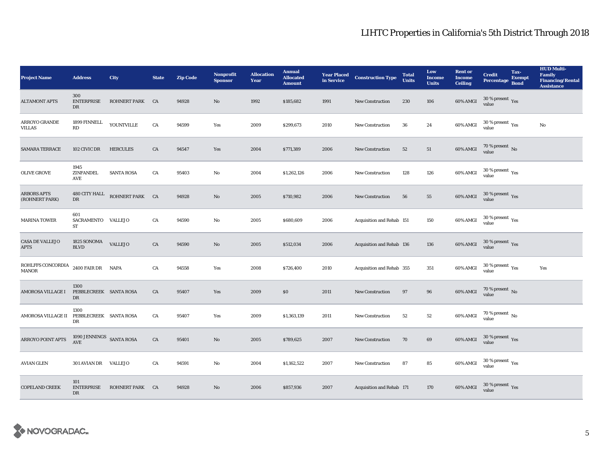| <b>Project Name</b>                                | <b>Address</b>                                   | City              | <b>State</b> | <b>Zip Code</b> | <b>Nonprofit</b><br><b>Sponsor</b> | <b>Allocation</b><br>Year | <b>Annual</b><br><b>Allocated</b><br><b>Amount</b> |      | <b>Year Placed Construction Type</b><br>in Service <b>Construction</b> Type | <b>Total</b><br><b>Units</b> | Low<br><b>Income</b><br><b>Units</b> | <b>Rent or</b><br><b>Income</b><br><b>Ceiling</b> | <b>Credit</b><br><b>Percentage</b>         | Tax-<br><b>Exempt</b><br><b>Bond</b> | <b>HUD Multi-</b><br><b>Family</b><br><b>Financing/Rental</b><br><b>Assistance</b> |
|----------------------------------------------------|--------------------------------------------------|-------------------|--------------|-----------------|------------------------------------|---------------------------|----------------------------------------------------|------|-----------------------------------------------------------------------------|------------------------------|--------------------------------------|---------------------------------------------------|--------------------------------------------|--------------------------------------|------------------------------------------------------------------------------------|
| <b>ALTAMONT APTS</b>                               | 300<br><b>ENTERPRISE</b><br>DR                   | ROHNERT PARK CA   |              | 94928           | No                                 | 1992                      | \$185,682                                          | 1991 | <b>New Construction</b>                                                     | 230                          | 106                                  | 60% AMGI                                          | $30$ % present $\,$ $\rm Yes$<br>value     |                                      |                                                                                    |
| <b>ARROYO GRANDE</b><br><b>VILLAS</b>              | 1899 FINNELL<br>RD                               | YOUNTVILLE        | ${\rm CA}$   | 94599           | Yes                                | 2009                      | \$299,673                                          | 2010 | New Construction                                                            | ${\bf 36}$                   | 24                                   | 60% AMGI                                          | $30\,\%$ present $\,$ Yes value            |                                      | $_{\rm No}$                                                                        |
| <b>SAMARA TERRACE</b>                              | 102 CIVIC DR                                     | <b>HERCULES</b>   | ${\rm CA}$   | 94547           | Yes                                | 2004                      | \$771,389                                          | 2006 | <b>New Construction</b>                                                     | 52                           | 51                                   | 60% AMGI                                          | $70$ % present $\,$ No value               |                                      |                                                                                    |
| <b>OLIVE GROVE</b>                                 | 1945<br>ZINFANDEL<br><b>AVE</b>                  | <b>SANTA ROSA</b> | CA           | 95403           | $\mathbf{No}$                      | 2004                      | \$1,262,126                                        | 2006 | New Construction                                                            | 128                          | 126                                  | 60% AMGI                                          | $30\,\%$ present $\,$ $\rm Yes$<br>value   |                                      |                                                                                    |
| <b>ARBORS APTS</b><br>(ROHNERT PARK)               | $480$ CITY HALL $\,$<br>DR                       | ROHNERT PARK CA   |              | 94928           | $\rm No$                           | 2005                      | \$710,982                                          | 2006 | <b>New Construction</b>                                                     | 56                           | 55                                   | 60% AMGI                                          | $30\,\%$ present $\,$ Yes value            |                                      |                                                                                    |
| <b>MARINA TOWER</b>                                | 601<br>SACRAMENTO VALLEJO<br>ST                  |                   | CA           | 94590           | No                                 | 2005                      | \$680,609                                          | 2006 | Acquisition and Rehab 151                                                   |                              | 150                                  | 60% AMGI                                          | $30\,\%$ present $\,$ Yes value            |                                      |                                                                                    |
| <b>CASA DE VALLEJO</b><br><b>APTS</b>              | 1825 SONOMA<br><b>BLVD</b>                       | <b>VALLEJO</b>    | CA           | 94590           | $\mathbf{N}\mathbf{o}$             | 2005                      | \$512,034                                          | 2006 | Acquisition and Rehab 136                                                   |                              | 136                                  | 60% AMGI                                          | $30\,\%$ present $\,$ Yes value            |                                      |                                                                                    |
| $\operatorname{ROHLFFS}$ CONCORDIA<br><b>MANOR</b> | 2400 FAIR DR NAPA                                |                   | CA           | 94558           | Yes                                | 2008                      | \$726,400                                          | 2010 | Acquisition and Rehab 355                                                   |                              | 351                                  | 60% AMGI                                          | $30\,\%$ present $\,\mathrm{Yes}$<br>value |                                      | Yes                                                                                |
| AMOROSA VILLAGE I                                  | 1300<br>PEBBLECREEK SANTA ROSA<br>DR             |                   | CA           | 95407           | Yes                                | 2009                      | \$0                                                | 2011 | New Construction                                                            | 97                           | 96                                   | 60% AMGI                                          | $70$ % present $\,$ No value               |                                      |                                                                                    |
| AMOROSA VILLAGE II                                 | 1300<br>PEBBLECREEK SANTA ROSA<br>DR             |                   | ${\rm CA}$   | 95407           | Yes                                | 2009                      | \$1,363,139                                        | 2011 | <b>New Construction</b>                                                     | $^{\rm 52}$                  | $52\,$                               | 60% AMGI                                          | $70\,\%$ present $\,$ No value             |                                      |                                                                                    |
| ARROYO POINT APTS                                  | 1090 JENNINGS SANTA ROSA<br>$\operatorname{AVE}$ |                   | ${\rm CA}$   | 95401           | $\mathbf{N}\mathbf{o}$             | 2005                      | \$789,625                                          | 2007 | New Construction                                                            | 70                           | 69                                   | 60% AMGI                                          | $30\,\%$ present $\,$ Yes value            |                                      |                                                                                    |
| <b>AVIAN GLEN</b>                                  | 301 AVIAN DR VALLEJO                             |                   | CA           | 94591           | No                                 | 2004                      | \$1,162,522                                        | 2007 | New Construction                                                            | 87                           | 85                                   | 60% AMGI                                          | $30\,\%$ present $\,$ Yes value            |                                      |                                                                                    |
| <b>COPELAND CREEK</b>                              | 101<br><b>ENTERPRISE</b><br>DR                   | ROHNERT PARK CA   |              | 94928           | No                                 | 2006                      | \$857,936                                          | 2007 | Acquisition and Rehab 171                                                   |                              | 170                                  | 60% AMGI                                          | $30\,\%$ present $\,$ Yes value            |                                      |                                                                                    |

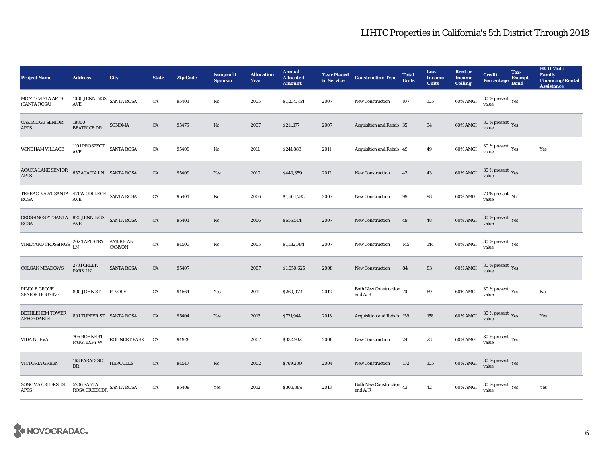| <b>Project Name</b>                                 | <b>Address</b>                                        | City                      | <b>State</b> | <b>Zip Code</b> | <b>Nonprofit</b><br><b>Sponsor</b> | <b>Allocation</b><br>Year | <b>Annual</b><br><b>Allocated</b><br><b>Amount</b> | <b>Year Placed<br/>in Service</b> | <b>Construction Type</b>                   | <b>Total</b><br><b>Units</b> | Low<br><b>Income</b><br><b>Units</b> | <b>Rent or</b><br><b>Income</b><br><b>Ceiling</b> | <b>Credit</b><br><b>Percentage</b>            | Tax-<br><b>Exempt</b><br><b>Bond</b> | <b>HUD Multi-</b><br><b>Family</b><br><b>Financing/Rental</b><br><b>Assistance</b> |
|-----------------------------------------------------|-------------------------------------------------------|---------------------------|--------------|-----------------|------------------------------------|---------------------------|----------------------------------------------------|-----------------------------------|--------------------------------------------|------------------------------|--------------------------------------|---------------------------------------------------|-----------------------------------------------|--------------------------------------|------------------------------------------------------------------------------------|
| MONTE VISTA APTS<br>(SANTA ROSA)                    | 1080 JENNINGS $\,$ SANTA ROSA<br>$\operatorname{AVE}$ |                           | CA           | 95401           | No                                 | 2005                      | \$1,234,754                                        | 2007                              | <b>New Construction</b>                    | 107                          | 105                                  | 60% AMGI                                          | $30$ % present $\rm \gamma_{\rm PS}$<br>value |                                      |                                                                                    |
| <b>OAK RIDGE SENIOR</b><br><b>APTS</b>              | 18800<br><b>BEATRICE DR</b>                           | SONOMA                    | CA           | 95476           | $\mathbf{N}\mathbf{o}$             | 2007                      | \$211,177                                          | 2007                              | Acquisition and Rehab 35                   |                              | 34                                   | $60\%$ AMGI                                       | $30\,\%$ present $\,$ Yes value               |                                      |                                                                                    |
| WINDHAM VILLAGE                                     | 1101 PROSPECT SANTA ROSA<br>AVE                       |                           | CA           | 95409           | No                                 | 2011                      | \$241,883                                          | 2011                              | Acquisition and Rehab 49                   |                              | 49                                   | 60% AMGI                                          | $30\,\%$ present $\,$ Yes value               |                                      | Yes                                                                                |
| ACACIA LANE SENIOR<br><b>APTS</b>                   | 657 ACACIA LN SANTA ROSA                              |                           | ${\rm CA}$   | 95409           | Yes                                | 2010                      | \$440,359                                          | 2012                              | New Construction                           | 43                           | $\bf 43$                             | 60% AMGI                                          | $30\,\%$ present $\,$ Yes value               |                                      |                                                                                    |
| TERRACINA AT SANTA 471 W COLLEGE SANTA ROSA<br>ROSA | $\operatorname{AVE}$                                  |                           | CA           | 95401           | No                                 | 2006                      | \$1,664,783                                        | 2007                              | <b>New Construction</b>                    | 99                           | 98                                   | 60% AMGI                                          | $70$ % present $\,$ No value                  |                                      |                                                                                    |
| CROSSINGS AT SANTA 820 JENNINGS<br><b>ROSA</b>      | AVE                                                   | SANTA ROSA                | CA           | 95401           | No                                 | 2006                      | \$656,544                                          | 2007                              | <b>New Construction</b>                    | 49                           | 48                                   | 60% AMGI                                          | $30\,\%$ present $\,$ Yes value               |                                      |                                                                                    |
| VINEYARD CROSSINGS $_{LN}^{202}$                    | 202 TAPESTRY                                          | AMERICAN<br><b>CANYON</b> | CA           | 94503           | No                                 | 2005                      | \$1,182,784                                        | 2007                              | New Construction                           | 145                          | 144                                  | 60% AMGI                                          | $30\,\%$ present $\,$ $\rm Yes$<br>value      |                                      |                                                                                    |
| <b>COLGAN MEADOWS</b>                               | <b>2701 CREEK</b><br>PARK LN                          | <b>SANTA ROSA</b>         | CA           | 95407           |                                    | 2007                      | \$1,050,625                                        | 2008                              | <b>New Construction</b>                    | 84                           | 83                                   | 60% AMGI                                          | $30\,\%$ present $\,$ Yes value               |                                      |                                                                                    |
| PINOLE GROVE<br>SENIOR HOUSING                      | 800 JOHN ST                                           | PINOLE                    | CA           | 94564           | Yes                                | 2011                      | \$260,072                                          | 2012                              | Both New Construction 70<br>and $A/R$      |                              | 69                                   | 60% AMGI                                          | 30 % present $\rm\,Yes$<br>value              |                                      | No                                                                                 |
| <b>BETHLEHEM TOWER</b><br><b>AFFORDABLE</b>         | 801 TUPPER ST SANTA ROSA                              |                           | CA           | 95404           | Yes                                | 2013                      | \$721,944                                          | 2013                              | Acquisition and Rehab 159                  |                              | 158                                  | 60% AMGI                                          | $30\,\%$ present $\,$ Yes value               |                                      | Yes                                                                                |
| VIDA NUEVA                                          | 705 ROHNERT<br><b>PARK EXPY W</b>                     | ROHNERT PARK CA           |              | 94928           |                                    | 2007                      | \$332,932                                          | 2008                              | New Construction                           | 24                           | $\bf 23$                             | 60% AMGI                                          | $30\,\%$ present $\,$ Yes value               |                                      |                                                                                    |
| VICTORIA GREEN                                      | 163 PARADISE<br>DR                                    | <b>HERCULES</b>           | CA           | 94547           | No                                 | 2002                      | \$769,200                                          | 2004                              | <b>New Construction</b>                    | 132                          | 105                                  | 60% AMGI                                          | $30\,\%$ present $\,$ Yes value               |                                      |                                                                                    |
| SONOMA CREEKSIDE<br><b>APTS</b>                     | $5206$ SANTA $\,$ ROSA CREEK DR $\,$ SANTA ROSA $\,$  |                           | CA           | 95409           | Yes                                | 2012                      | \$303,889                                          | 2013                              | Both New Construction 43<br>and $\rm{A/R}$ |                              | 42                                   | 60% AMGI                                          | $30\,\%$ present $\,$ Yes value               |                                      | Yes                                                                                |

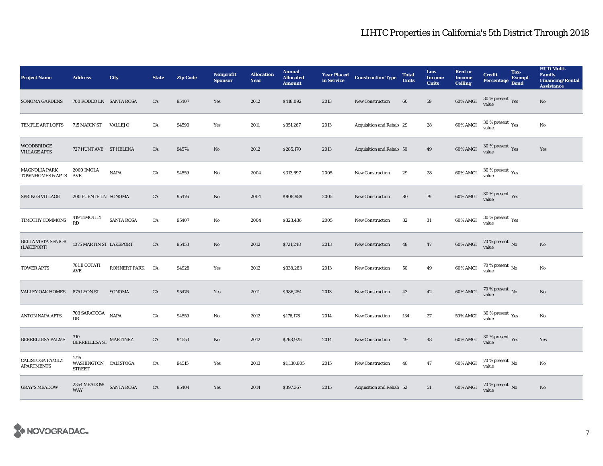| <b>Project Name</b>                          | <b>Address</b>                                | City              | <b>State</b> | <b>Zip Code</b> | <b>Nonprofit</b><br><b>Sponsor</b> | <b>Allocation</b><br>Year | <b>Annual</b><br><b>Allocated</b><br><b>Amount</b> | <b>Year Placed<br/>in Service</b> | <b>Construction Type</b> | <b>Total</b><br><b>Units</b> | Low<br><b>Income</b><br><b>Units</b> | <b>Rent or</b><br><b>Income</b><br><b>Ceiling</b> | <b>Credit</b><br><b>Percentage</b>       | Tax-<br><b>Exempt</b><br><b>Bond</b> | <b>HUD Multi-</b><br><b>Family</b><br><b>Financing/Rental</b><br><b>Assistance</b> |
|----------------------------------------------|-----------------------------------------------|-------------------|--------------|-----------------|------------------------------------|---------------------------|----------------------------------------------------|-----------------------------------|--------------------------|------------------------------|--------------------------------------|---------------------------------------------------|------------------------------------------|--------------------------------------|------------------------------------------------------------------------------------|
| <b>SONOMA GARDENS</b>                        | 700 RODEO LN SANTA ROSA                       |                   | CA           | 95407           | Yes                                | 2012                      | \$418,092                                          | 2013                              | <b>New Construction</b>  | 60                           | 59                                   | 60% AMGI                                          | 30 % present Yes<br>value                |                                      | No                                                                                 |
| TEMPLE ART LOFTS                             | 715 MARIN ST VALLEJO                          |                   | CA           | 94590           | Yes                                | 2011                      | \$351,267                                          | 2013                              | Acquisition and Rehab 29 |                              | 28                                   | 60% AMGI                                          | $30\ \%$ present $\ _{\mbox{Yes}}$ value |                                      | $\rm No$                                                                           |
| <b>WOODBRIDGE</b><br><b>VILLAGE APTS</b>     | 727 HUNT AVE ST HELENA                        |                   | CA           | 94574           | No                                 | 2012                      | \$285,170                                          | 2013                              | Acquisition and Rehab 50 |                              | 49                                   | 60% AMGI                                          | $30\,\%$ present $\,\mathrm{Yes}$ value  |                                      | Yes                                                                                |
| MAGNOLIA PARK<br>TOWNHOMES & APTS AVE        | 2000 IMOLA                                    | <b>NAPA</b>       | CA           | 94559           | No                                 | 2004                      | \$313,697                                          | 2005                              | New Construction         | 29                           | 28                                   | 60% AMGI                                          | $30\%$ present Yes<br>value              |                                      |                                                                                    |
| SPRINGS VILLAGE                              | 200 FUENTE LN SONOMA                          |                   | CA           | 95476           | $\mathbf{N}\mathbf{o}$             | 2004                      | \$808,989                                          | 2005                              | New Construction         | 80                           | 79                                   | 60% AMGI                                          | $30\,\%$ present $\,$ Yes value          |                                      |                                                                                    |
| TIMOTHY COMMONS                              | 419 TIMOTHY<br><b>RD</b>                      | <b>SANTA ROSA</b> | CA           | 95407           | No                                 | 2004                      | \$323,436                                          | 2005                              | <b>New Construction</b>  | 32                           | 31                                   | 60% AMGI                                          | $30\,\%$ present $\,$ Yes value          |                                      |                                                                                    |
| <b>BELLA VISTA SENIOR</b><br>(LAKEPORT)      | 1075 MARTIN ST LAKEPORT                       |                   | CA           | 95453           | $\mathbf{N}\mathbf{o}$             | 2012                      | \$721,248                                          | 2013                              | <b>New Construction</b>  | 48                           | 47                                   | 60% AMGI                                          | $70$ % present $\,$ No value             |                                      | $\rm No$                                                                           |
| <b>TOWER APTS</b>                            | 781 E COTATI<br>$\operatorname{AVE}$          | ROHNERT PARK CA   |              | 94928           | Yes                                | 2012                      | \$338,283                                          | 2013                              | New Construction         | 50                           | 49                                   | $60\%$ AMGI                                       | $70\,\%$ present $\,$ No value           |                                      | $\rm No$                                                                           |
| <b>VALLEY OAK HOMES</b>                      | 875 LYON ST                                   | SONOMA            | CA           | 95476           | Yes                                | 2011                      | \$986,254                                          | 2013                              | <b>New Construction</b>  | 43                           | 42                                   | $60\%$ AMGI                                       | $70\,\%$ present $\,$ No value           |                                      | $\mathbf{No}$                                                                      |
| <b>ANTON NAPA APTS</b>                       | 703 SARATOGA<br>DR                            | <b>NAPA</b>       | CA           | 94559           | No                                 | 2012                      | \$176,178                                          | 2014                              | <b>New Construction</b>  | 134                          | 27                                   | 50% AMGI                                          | $30\,\%$ present $\,\mathrm{Yes}$ value  |                                      | No                                                                                 |
| <b>BERRELLESA PALMS</b>                      | 310<br>BERRELLESA ST MARTINEZ                 |                   | CA           | 94553           | $\mathbf{No}$                      | 2012                      | \$768,925                                          | 2014                              | New Construction         | 49                           | ${\bf 48}$                           | 60% AMGI                                          | $30\,\%$ present $\,\mathrm{Yes}$ value  |                                      | Yes                                                                                |
| <b>CALISTOGA FAMILY</b><br><b>APARTMENTS</b> | 1715<br>WASHINGTON CALISTOGA<br><b>STREET</b> |                   | CA           | 94515           | Yes                                | 2013                      | \$1,130,805                                        | 2015                              | <b>New Construction</b>  | 48                           | 47                                   | 60% AMGI                                          | $70\,\%$ present $\,$ No value           |                                      | No                                                                                 |
| <b>GRAY'S MEADOW</b>                         | $2354\ \mathrm{MEADOW}\qquad$ SANTA ROSA WAY  |                   | CA           | 95404           | Yes                                | 2014                      | \$397,367                                          | 2015                              | Acquisition and Rehab 52 |                              | 51                                   | 60% AMGI                                          | $70\,\%$ present $_{\rm{No}}$            |                                      | No                                                                                 |